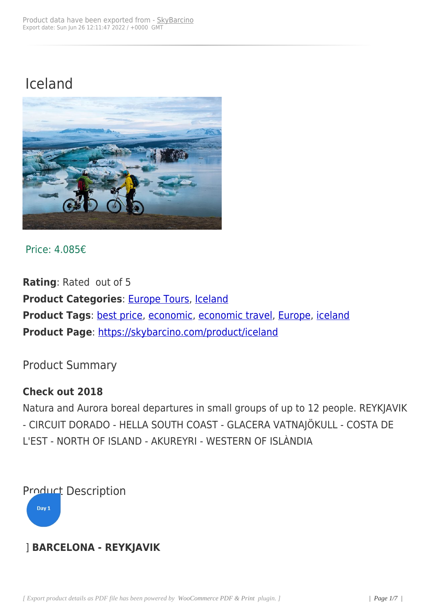# Iceland



Price: 4.085€

**Rating**: Rated out of 5 **Product Categories: Europe Tours, Iceland Product Tags: best price, economic, economic travel, Europe, iceland Product Page**: https:/[/skybarcino.co](https://skybarcino.com/product-category/all-destinations/destinations/europe-tours)[m/produ](https://skybarcino.com/product-category/all-destinations/destinations/europe-tours/iceland)ct/iceland

Product Sum[mary](https://skybarcino.com/product/iceland)

### **Check out 2018**

Natura and Aurora boreal departures in small groups of up to 12 people. REYKJAVIK - CIRCUIT DORADO - HELLA SOUTH COAST - GLACERA VATNAJÖKULL - COSTA DE L'EST - NORTH OF ISLAND - AKUREYRI - WESTERN OF ISLÀNDIA

Product Description

Day 1

### ] **BARCELONA - REYKJAVIK**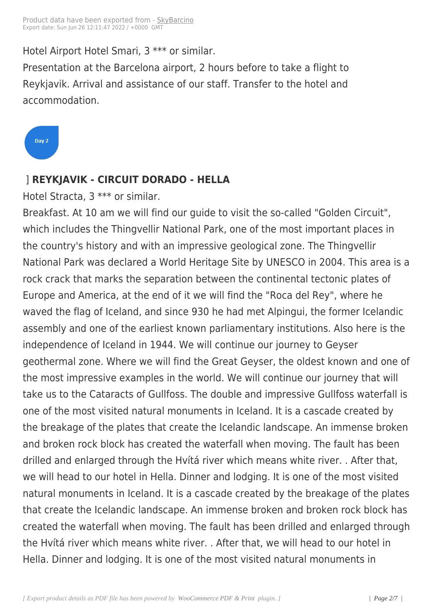Hotel Airport Hotel Smari, 3 [\\*\\*\\* or sim](https://skybarcino.com/?post_type=product&p=3850)ilar.

Presentation at the Barcelona airport, 2 hours before to take a flight to Reykjavik. Arrival and assistance of our staff. Transfer to the hotel and accommodation.

Day 2

#### ] **REYKJAVIK - CIRCUIT DORADO - HELLA**

Hotel Stracta, 3 \*\*\* or similar.

Breakfast. At 10 am we will find our guide to visit the so-called "Golden Circuit", which includes the Thingvellir National Park, one of the most important places in the country's history and with an impressive geological zone. The Thingvellir National Park was declared a World Heritage Site by UNESCO in 2004. This area is a rock crack that marks the separation between the continental tectonic plates of Europe and America, at the end of it we will find the "Roca del Rey", where he waved the flag of Iceland, and since 930 he had met Alpingui, the former Icelandic assembly and one of the earliest known parliamentary institutions. Also here is the independence of Iceland in 1944. We will continue our journey to Geyser geothermal zone. Where we will find the Great Geyser, the oldest known and one of the most impressive examples in the world. We will continue our journey that will take us to the Cataracts of Gullfoss. The double and impressive Gullfoss waterfall is one of the most visited natural monuments in Iceland. It is a cascade created by the breakage of the plates that create the Icelandic landscape. An immense broken and broken rock block has created the waterfall when moving. The fault has been drilled and enlarged through the Hvítá river which means white river. . After that, we will head to our hotel in Hella. Dinner and lodging. It is one of the most visited natural monuments in Iceland. It is a cascade created by the breakage of the plates that create the Icelandic landscape. An immense broken and broken rock block has created the waterfall when moving. The fault has been drilled and enlarged through the Hvítá river which means white river. . After that, we will head to our hotel in Hella. Dinner and lodging. It is one of the most visited natural monuments in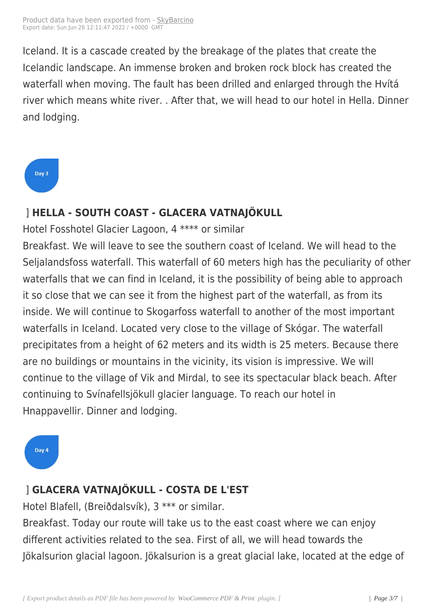Iceland. It is a cascade creat[ed by the](https://skybarcino.com/?post_type=product&p=3850) breakage of the plates that create the Icelandic landscape. An immense broken and broken rock block has created the waterfall when moving. The fault has been drilled and enlarged through the Hvítá river which means white river. . After that, we will head to our hotel in Hella. Dinner and lodging.



# ] **HELLA - SOUTH COAST - GLACERA VATNAJÖKULL**

Hotel Fosshotel Glacier Lagoon, 4 \*\*\*\* or similar

Breakfast. We will leave to see the southern coast of Iceland. We will head to the Seljalandsfoss waterfall. This waterfall of 60 meters high has the peculiarity of other waterfalls that we can find in Iceland, it is the possibility of being able to approach it so close that we can see it from the highest part of the waterfall, as from its inside. We will continue to Skogarfoss waterfall to another of the most important waterfalls in Iceland. Located very close to the village of Skógar. The waterfall precipitates from a height of 62 meters and its width is 25 meters. Because there are no buildings or mountains in the vicinity, its vision is impressive. We will continue to the village of Vik and Mirdal, to see its spectacular black beach. After continuing to Svínafellsjökull glacier language. To reach our hotel in Hnappavellir. Dinner and lodging.

# Day 4

# ] **GLACERA VATNAJÖKULL - COSTA DE L'EST**

Hotel Blafell, (Breiðdalsvík), 3 \*\*\* or similar.

Breakfast. Today our route will take us to the east coast where we can enjoy different activities related to the sea. First of all, we will head towards the Jökalsurion glacial lagoon. Jökalsurion is a great glacial lake, located at the edge of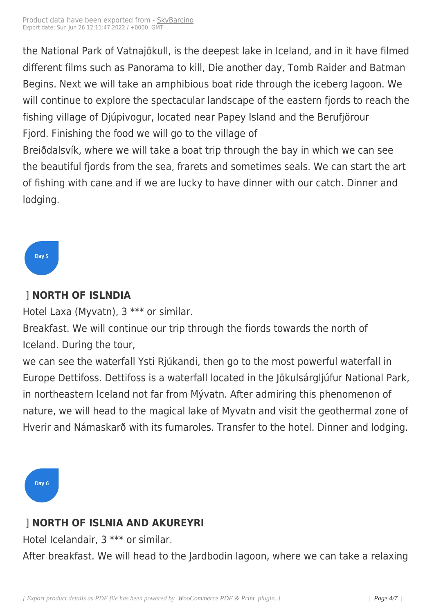the National Park of Vatnajö[kull, is the](https://skybarcino.com/?post_type=product&p=3850) deepest lake in Iceland, and in it have filmed different films such as Panorama to kill, Die another day, Tomb Raider and Batman Begins. Next we will take an amphibious boat ride through the iceberg lagoon. We will continue to explore the spectacular landscape of the eastern fjords to reach the fishing village of Djúpivogur, located near Papey Island and the Berufjörour Fjord. Finishing the food we will go to the village of

Breiðdalsvík, where we will take a boat trip through the bay in which we can see the beautiful fjords from the sea, frarets and sometimes seals. We can start the art of fishing with cane and if we are lucky to have dinner with our catch. Dinner and lodging.



# ] **NORTH OF ISLNDIA**

Hotel Laxa (Myvatn), 3 \*\*\* or similar.

Breakfast. We will continue our trip through the fiords towards the north of Iceland. During the tour,

we can see the waterfall Ysti Rjúkandi, then go to the most powerful waterfall in Europe Dettifoss. Dettifoss is a waterfall located in the Jökulsárgljúfur National Park, in northeastern Iceland not far from Mývatn. After admiring this phenomenon of nature, we will head to the magical lake of Myvatn and visit the geothermal zone of Hverir and Námaskarð with its fumaroles. Transfer to the hotel. Dinner and lodging.



# ] **NORTH OF ISLNIA AND AKUREYRI**

Hotel Icelandair, 3 \*\*\* or similar.

After breakfast. We will head to the Jardbodin lagoon, where we can take a relaxing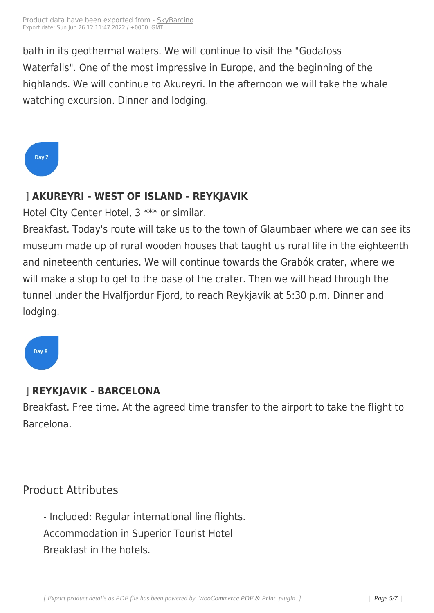bath in its geothermal water[s. We wil](https://skybarcino.com/?post_type=product&p=3850)l continue to visit the "Godafoss Waterfalls". One of the most impressive in Europe, and the beginning of the highlands. We will continue to Akureyri. In the afternoon we will take the whale watching excursion. Dinner and lodging.

Day 7

### ] **AKUREYRI - WEST OF ISLAND - REYKJAVIK**

Hotel City Center Hotel, 3 \*\*\* or similar.

Breakfast. Today's route will take us to the town of Glaumbaer where we can see its museum made up of rural wooden houses that taught us rural life in the eighteenth and nineteenth centuries. We will continue towards the Grabók crater, where we will make a stop to get to the base of the crater. Then we will head through the tunnel under the Hvalfjordur Fjord, to reach Reykjavík at 5:30 p.m. Dinner and lodging.

Day 8

### ] **REYKJAVIK - BARCELONA**

Breakfast. Free time. At the agreed time transfer to the airport to take the flight to Barcelona.

Product Attributes

- Included: Regular international line flights. Accommodation in Superior Tourist Hotel Breakfast in the hotels.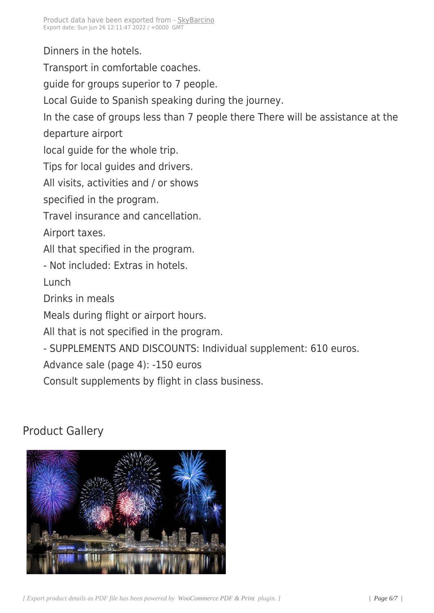Dinners in the hotels.

Transport in comfortable coaches.

guide for groups superior to 7 people.

Local Guide to Spanish speaking during the journey.

In the case of groups less than 7 people there There will be assistance at the departure airport

local guide for the whole trip.

Tips for local guides and drivers.

All visits, activities and / or shows

specified in the program.

Travel insurance and cancellation.

Airport taxes.

All that specified in the program.

- Not included: Extras in hotels.

Lunch

Drinks in meals

Meals during flight or airport hours.

All that is not specified in the program.

- SUPPLEMENTS AND DISCOUNTS: Individual supplement: 610 euros.

Advance sale (page 4): -150 euros

Consult supplements by flight in class business.

# Product Gallery